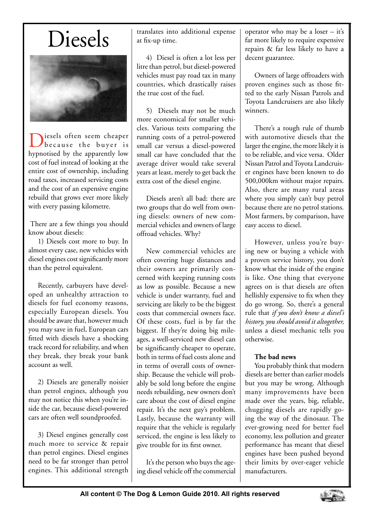## Diesels



Diesels often seem cheaper<br>because the buyer is hypnotised by the apparently low cost of fuel instead of looking at the entire cost of ownership, including road taxes, increased servicing costs and the cost of an expensive engine rebuild that grows ever more likely with every passing kilometre.

 There are a few things you should know about diesels:

1) Diesels cost more to buy. In almost every case, new vehicles with diesel engines cost significantly more than the petrol equivalent.

Recently, carbuyers have developed an unhealthy attraction to diesels for fuel economy reasons, especially European diesels. You should be aware that, however much you may save in fuel, European cars fitted with diesels have a shocking track record for reliability, and when they break, they break your bank account as well.

2) Diesels are generally noisier than petrol engines, although you may not notice this when you're inside the car, because diesel-powered cars are often well soundproofed.

3) Diesel engines generally cost much more to service & repair than petrol engines. Diesel engines need to be far stronger than petrol engines. This additional strength translates into additional expense at fix-up time.

4) Diesel is often a lot less per litre than petrol, but diesel-powered vehicles must pay road tax in many countries, which drastically raises the true cost of the fuel.

5) Diesels may not be much more economical for smaller vehicles. Various tests comparing the running costs of a petrol-powered small car versus a diesel-powered small car have concluded that the average driver would take several years at least, merely to get back the extra cost of the diesel engine.

Diesels aren't all bad: there are two groups that do well from owning diesels: owners of new commercial vehicles and owners of large offroad vehicles. Why?

New commercial vehicles are often covering huge distances and their owners are primarily concerned with keeping running costs as low as possible. Because a new vehicle is under warranty, fuel and servicing are likely to be the biggest costs that commercial owners face. Of these costs, fuel is by far the biggest. If they're doing big mileages, a well-serviced new diesel can be significantly cheaper to operate, both in terms of fuel costs alone and in terms of overall costs of ownership. Because the vehicle will probably be sold long before the engine needs rebuilding, new owners don't care about the cost of diesel engine repair. It's the next guy's problem. Lastly, because the warranty will require that the vehicle is regularly serviced, the engine is less likely to give trouble for its first owner.

It's the person who buys the ageing diesel vehicle off the commercial

operator who may be a loser – it's far more likely to require expensive repairs & far less likely to have a decent guarantee.

Owners of large offroaders with proven engines such as those fitted to the early Nissan Patrols and Toyota Landcruisers are also likely winners.

There's a rough rule of thumb with automotive diesels that the larger the engine, the more likely it is to be reliable, and vice versa. Older Nissan Patrol and Toyota Landcruiser engines have been known to do 500,000km without major repairs. Also, there are many rural areas where you simply can't buy petrol because there are no petrol stations. Most farmers, by comparison, have easy access to diesel.

However, unless you're buying new or buying a vehicle with a proven service history, you don't know what the inside of the engine is like. One thing that everyone agrees on is that diesels are often hellishly expensive to fix when they do go wrong. So, there's a general rule that *if you don't know a diesel's history, you should avoid it altogether,*  unless a diesel mechanic tells you otherwise.

## **The bad news**

You probably think that modern diesels are better than earlier models but you may be wrong. Although many improvements have been made over the years, big, reliable, chugging diesels are rapidly going the way of the dinosaur. The ever-growing need for better fuel economy, less pollution and greater performance has meant that diesel engines have been pushed beyond their limits by over-eager vehicle manufacturers.